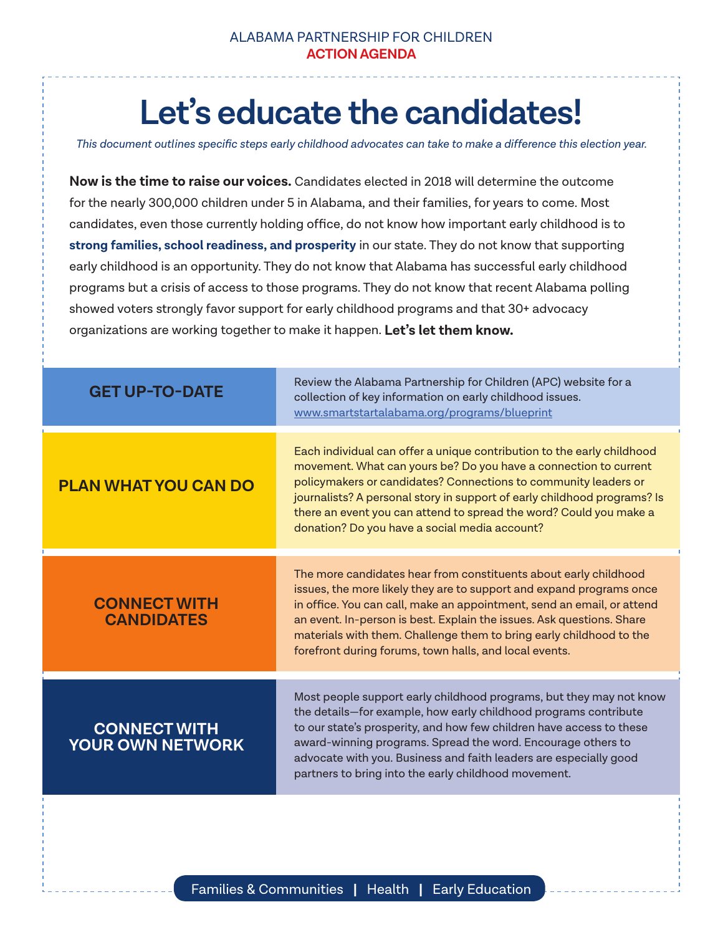## **Let's educate the candidates!**

*This document outlines specific steps early childhood advocates can take to make a difference this election year.*

**Now is the time to raise our voices.** Candidates elected in 2018 will determine the outcome for the nearly 300,000 children under 5 in Alabama, and their families, for years to come. Most candidates, even those currently holding office, do not know how important early childhood is to **strong families, school readiness, and prosperity** in our state. They do not know that supporting early childhood is an opportunity. They do not know that Alabama has successful early childhood programs but a crisis of access to those programs. They do not know that recent Alabama polling showed voters strongly favor support for early childhood programs and that 30+ advocacy organizations are working together to make it happen. **Let's let them know.**

| <b>GET UP-TO-DATE</b>                          | Review the Alabama Partnership for Children (APC) website for a<br>collection of key information on early childhood issues.<br>www.smartstartalabama.org/programs/blueprint                                                                                                                                                                                                                                                  |
|------------------------------------------------|------------------------------------------------------------------------------------------------------------------------------------------------------------------------------------------------------------------------------------------------------------------------------------------------------------------------------------------------------------------------------------------------------------------------------|
| <b>PLAN WHAT YOU CAN DO</b>                    | Each individual can offer a unique contribution to the early childhood<br>movement. What can yours be? Do you have a connection to current<br>policymakers or candidates? Connections to community leaders or<br>journalists? A personal story in support of early childhood programs? Is<br>there an event you can attend to spread the word? Could you make a<br>donation? Do you have a social media account?             |
| <b>CONNECT WITH</b><br><b>CANDIDATES</b>       | The more candidates hear from constituents about early childhood<br>issues, the more likely they are to support and expand programs once<br>in office. You can call, make an appointment, send an email, or attend<br>an event. In-person is best. Explain the issues. Ask questions. Share<br>materials with them. Challenge them to bring early childhood to the<br>forefront during forums, town halls, and local events. |
| <b>CONNECT WITH</b><br><b>YOUR OWN NETWORK</b> | Most people support early childhood programs, but they may not know<br>the details-for example, how early childhood programs contribute<br>to our state's prosperity, and how few children have access to these<br>award-winning programs. Spread the word. Encourage others to<br>advocate with you. Business and faith leaders are especially good<br>partners to bring into the early childhood movement.                 |